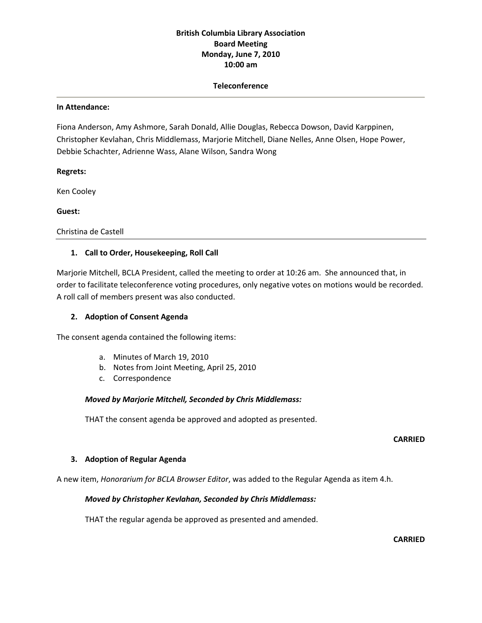# **British Columbia Library Association Board Meeting Monday, June 7, 2010 10:00 am**

### **Teleconference**

#### **In Attendance:**

Fiona Anderson, Amy Ashmore, Sarah Donald, Allie Douglas, Rebecca Dowson, David Karppinen, Christopher Kevlahan, Chris Middlemass, Marjorie Mitchell, Diane Nelles, Anne Olsen, Hope Power, Debbie Schachter, Adrienne Wass, Alane Wilson, Sandra Wong

### **Regrets:**

Ken Cooley

**Guest:**

Christina de Castell

### **1. Call to Order, Housekeeping, Roll Call**

Marjorie Mitchell, BCLA President, called the meeting to order at 10:26 am. She announced that, in order to facilitate teleconference voting procedures, only negative votes on motions would be recorded. A roll call of members present was also conducted.

### **2. Adoption of Consent Agenda**

The consent agenda contained the following items:

- a. Minutes of March 19, 2010
- b. Notes from Joint Meeting, April 25, 2010
- c. Correspondence

### *Moved by Marjorie Mitchell, Seconded by Chris Middlemass:*

THAT the consent agenda be approved and adopted as presented.

### **CARRIED**

### **3. Adoption of Regular Agenda**

A new item, *Honorarium for BCLA Browser Editor*, was added to the Regular Agenda as item 4.h.

### *Moved by Christopher Kevlahan, Seconded by Chris Middlemass:*

THAT the regular agenda be approved as presented and amended.

**CARRIED**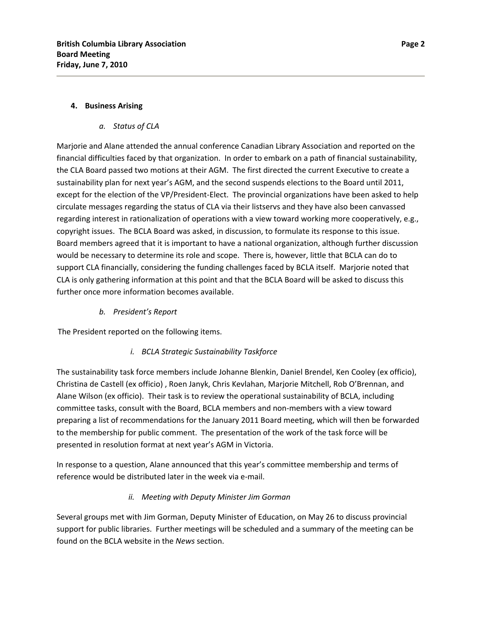## **4. Business Arising**

## *a. Status of CLA*

Marjorie and Alane attended the annual conference Canadian Library Association and reported on the financial difficulties faced by that organization. In order to embark on a path of financial sustainability, the CLA Board passed two motions at their AGM. The first directed the current Executive to create a sustainability plan for next year's AGM, and the second suspends elections to the Board until 2011, except for the election of the VP/President‐Elect. The provincial organizations have been asked to help circulate messages regarding the status of CLA via their listservs and they have also been canvassed regarding interest in rationalization of operations with a view toward working more cooperatively, e.g., copyright issues. The BCLA Board was asked, in discussion, to formulate its response to this issue. Board members agreed that it is important to have a national organization, although further discussion would be necessary to determine its role and scope. There is, however, little that BCLA can do to support CLA financially, considering the funding challenges faced by BCLA itself. Marjorie noted that CLA is only gathering information at this point and that the BCLA Board will be asked to discuss this further once more information becomes available.

*b. President's Report*

The President reported on the following items.

## *i. BCLA Strategic Sustainability Taskforce*

The sustainability task force members include Johanne Blenkin, Daniel Brendel, Ken Cooley (ex officio), Christina de Castell (ex officio) , Roen Janyk, Chris Kevlahan, Marjorie Mitchell, Rob O'Brennan, and Alane Wilson (ex officio). Their task is to review the operational sustainability of BCLA, including committee tasks, consult with the Board, BCLA members and non‐members with a view toward preparing a list of recommendations for the January 2011 Board meeting, which will then be forwarded to the membership for public comment. The presentation of the work of the task force will be presented in resolution format at next year's AGM in Victoria.

In response to a question, Alane announced that this year's committee membership and terms of reference would be distributed later in the week via e‐mail.

## *ii. Meeting with Deputy Minister Jim Gorman*

Several groups met with Jim Gorman, Deputy Minister of Education, on May 26 to discuss provincial support for public libraries. Further meetings will be scheduled and a summary of the meeting can be found on the BCLA website in the *News* section.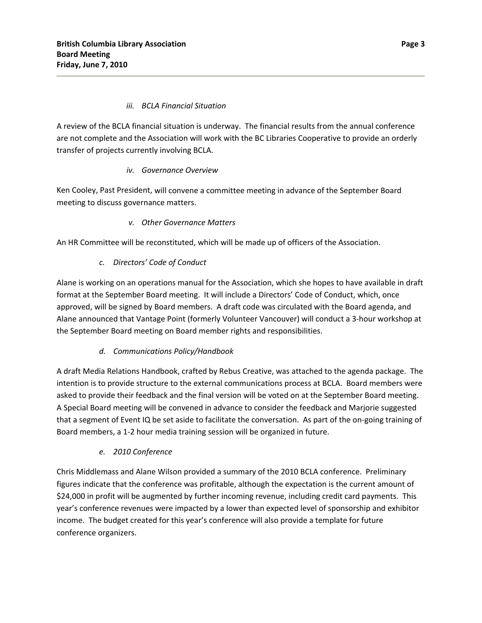## *iii. BCLA Financial Situation*

A review of the BCLA financial situation is underway. The financial results from the annual conference are not complete and the Association will work with the BC Libraries Cooperative to provide an orderly transfer of projects currently involving BCLA.

## *iv. Governance Overview*

Ken Cooley, Past President, will convene a committee meeting in advance of the September Board meeting to discuss governance matters.

# *v. Other Governance Matters*

An HR Committee will be reconstituted, which will be made up of officers of the Association.

# *c. Directors' Code of Conduct*

Alane is working on an operations manual for the Association, which she hopes to have available in draft format at the September Board meeting. It will include a Directors' Code of Conduct, which, once approved, will be signed by Board members. A draft code was circulated with the Board agenda, and Alane announced that Vantage Point (formerly Volunteer Vancouver) will conduct a 3‐hour workshop at the September Board meeting on Board member rights and responsibilities.

# *d. Communications Policy/Handbook*

A draft Media Relations Handbook, crafted by Rebus Creative, was attached to the agenda package. The intention is to provide structure to the external communications process at BCLA. Board members were asked to provide their feedback and the final version will be voted on at the September Board meeting. A Special Board meeting will be convened in advance to consider the feedback and Marjorie suggested that a segment of Event IQ be set aside to facilitate the conversation. As part of the on‐going training of Board members, a 1‐2 hour media training session will be organized in future.

# *e. 2010 Conference*

Chris Middlemass and Alane Wilson provided a summary of the 2010 BCLA conference. Preliminary figures indicate that the conference was profitable, although the expectation is the current amount of \$24,000 in profit will be augmented by further incoming revenue, including credit card payments. This year's conference revenues were impacted by a lower than expected level of sponsorship and exhibitor income. The budget created for this year's conference will also provide a template for future conference organizers.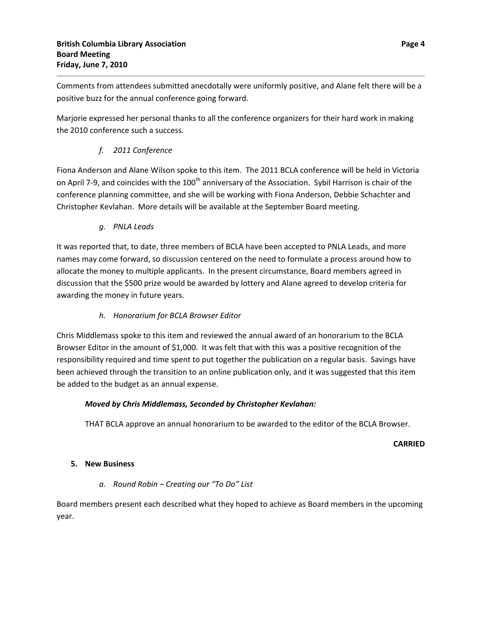Comments from attendees submitted anecdotally were uniformly positive, and Alane felt there will be a positive buzz for the annual conference going forward.

Marjorie expressed her personal thanks to all the conference organizers for their hard work in making the 2010 conference such a success.

# *f. 2011 Conference*

Fiona Anderson and Alane Wilson spoke to this item. The 2011 BCLA conference will be held in Victoria on April 7-9, and coincides with the 100<sup>th</sup> anniversary of the Association. Sybil Harrison is chair of the conference planning committee, and she will be working with Fiona Anderson, Debbie Schachter and Christopher Kevlahan. More details will be available at the September Board meeting.

*g. PNLA Leads*

It was reported that, to date, three members of BCLA have been accepted to PNLA Leads, and more names may come forward, so discussion centered on the need to formulate a process around how to allocate the money to multiple applicants. In the present circumstance, Board members agreed in discussion that the \$500 prize would be awarded by lottery and Alane agreed to develop criteria for awarding the money in future years.

# *h. Honorarium for BCLA Browser Editor*

Chris Middlemass spoke to this item and reviewed the annual award of an honorarium to the BCLA Browser Editor in the amount of \$1,000. It was felt that with this was a positive recognition of the responsibility required and time spent to put together the publication on a regular basis. Savings have been achieved through the transition to an online publication only, and it was suggested that this item be added to the budget as an annual expense.

# *Moved by Chris Middlemass, Seconded by Christopher Kevlahan:*

THAT BCLA approve an annual honorarium to be awarded to the editor of the BCLA Browser.

## **CARRIED**

# **5. New Business**

# *a. Round Robin – Creating our "To Do" List*

Board members present each described what they hoped to achieve as Board members in the upcoming year.